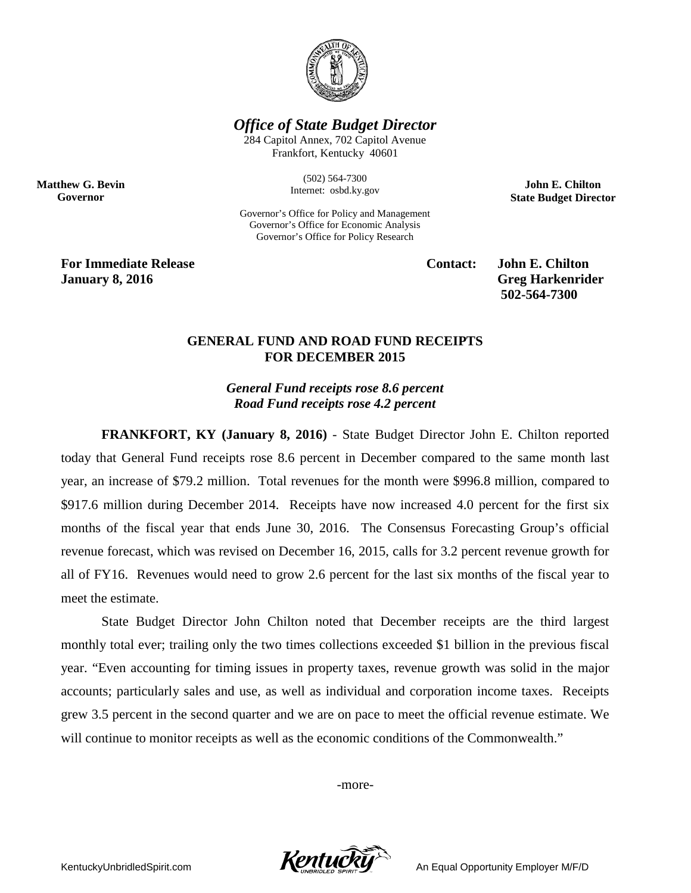

*Office of State Budget Director*

284 Capitol Annex, 702 Capitol Avenue Frankfort, Kentucky 40601

> (502) 564-7300 Internet: osbd.ky.gov

Governor's Office for Policy and Management Governor's Office for Economic Analysis Governor's Office for Policy Research

**John E. Chilton State Budget Director**

**For Immediate Release Contact: John E. Chilton January 8, 2016 Greg Harkenrider**

**Matthew G. Bevin Governor**

**502-564-7300** 

## **GENERAL FUND AND ROAD FUND RECEIPTS FOR DECEMBER 2015**

*General Fund receipts rose 8.6 percent Road Fund receipts rose 4.2 percent*

**FRANKFORT, KY (January 8, 2016)** - State Budget Director John E. Chilton reported today that General Fund receipts rose 8.6 percent in December compared to the same month last year, an increase of \$79.2 million. Total revenues for the month were \$996.8 million, compared to \$917.6 million during December 2014. Receipts have now increased 4.0 percent for the first six months of the fiscal year that ends June 30, 2016. The Consensus Forecasting Group's official revenue forecast, which was revised on December 16, 2015, calls for 3.2 percent revenue growth for all of FY16. Revenues would need to grow 2.6 percent for the last six months of the fiscal year to meet the estimate.

State Budget Director John Chilton noted that December receipts are the third largest monthly total ever; trailing only the two times collections exceeded \$1 billion in the previous fiscal year. "Even accounting for timing issues in property taxes, revenue growth was solid in the major accounts; particularly sales and use, as well as individual and corporation income taxes. Receipts grew 3.5 percent in the second quarter and we are on pace to meet the official revenue estimate. We will continue to monitor receipts as well as the economic conditions of the Commonwealth."

-more-

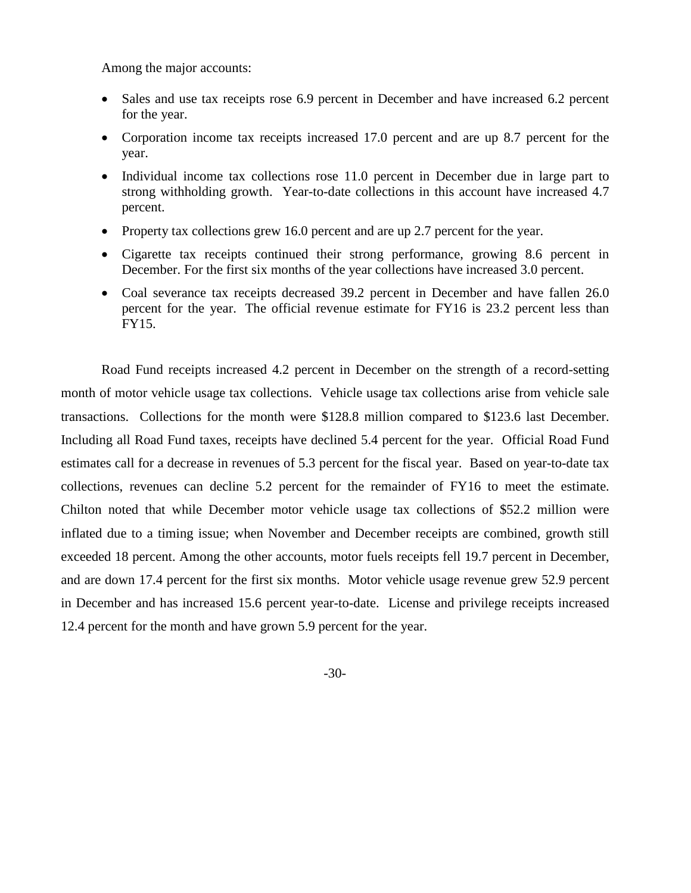Among the major accounts:

- Sales and use tax receipts rose 6.9 percent in December and have increased 6.2 percent for the year.
- Corporation income tax receipts increased 17.0 percent and are up 8.7 percent for the year.
- Individual income tax collections rose 11.0 percent in December due in large part to strong withholding growth. Year-to-date collections in this account have increased 4.7 percent.
- Property tax collections grew 16.0 percent and are up 2.7 percent for the year.
- Cigarette tax receipts continued their strong performance, growing 8.6 percent in December. For the first six months of the year collections have increased 3.0 percent.
- Coal severance tax receipts decreased 39.2 percent in December and have fallen 26.0 percent for the year. The official revenue estimate for FY16 is 23.2 percent less than FY15.

Road Fund receipts increased 4.2 percent in December on the strength of a record-setting month of motor vehicle usage tax collections. Vehicle usage tax collections arise from vehicle sale transactions. Collections for the month were \$128.8 million compared to \$123.6 last December. Including all Road Fund taxes, receipts have declined 5.4 percent for the year. Official Road Fund estimates call for a decrease in revenues of 5.3 percent for the fiscal year. Based on year-to-date tax collections, revenues can decline 5.2 percent for the remainder of FY16 to meet the estimate. Chilton noted that while December motor vehicle usage tax collections of \$52.2 million were inflated due to a timing issue; when November and December receipts are combined, growth still exceeded 18 percent. Among the other accounts, motor fuels receipts fell 19.7 percent in December, and are down 17.4 percent for the first six months. Motor vehicle usage revenue grew 52.9 percent in December and has increased 15.6 percent year-to-date. License and privilege receipts increased 12.4 percent for the month and have grown 5.9 percent for the year.

-30-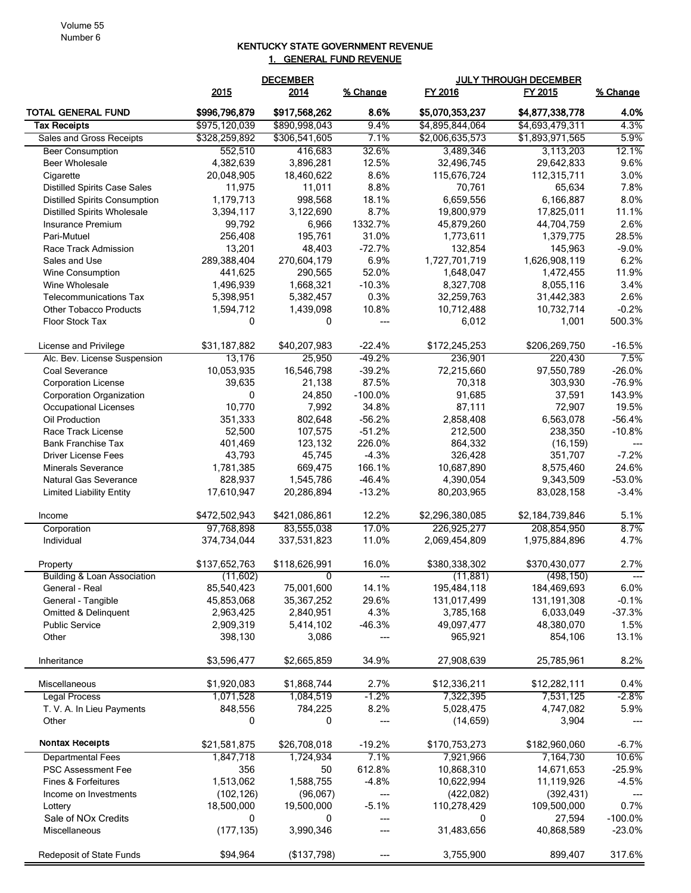## Volume 55 Number 6

## KENTUCKY STATE GOVERNMENT REVENUE 1. GENERAL FUND REVENUE

|                                        | <b>DECEMBER</b> |               |           | <b>JULY THROUGH DECEMBER</b> |                 |                        |  |
|----------------------------------------|-----------------|---------------|-----------|------------------------------|-----------------|------------------------|--|
|                                        | 2015            | 2014          | % Change  | FY 2016                      | FY 2015         | % Change               |  |
| TOTAL GENERAL FUND                     | \$996,796,879   | \$917,568,262 | 8.6%      | \$5,070,353,237              | \$4,877,338,778 | 4.0%                   |  |
| <b>Tax Receipts</b>                    | \$975,120,039   | \$890,998,043 | 9.4%      | \$4,895,844,064              | \$4,693,479,311 | 4.3%                   |  |
| Sales and Gross Receipts               | \$328,259,892   | \$306,541,605 | 7.1%      | \$2,006,635,573              | \$1,893,971,565 | 5.9%                   |  |
| <b>Beer Consumption</b>                | 552,510         | 416,683       | 32.6%     | 3,489,346                    | 3,113,203       | 12.1%                  |  |
| <b>Beer Wholesale</b>                  | 4,382,639       | 3,896,281     | 12.5%     | 32,496,745                   | 29,642,833      | 9.6%                   |  |
| Cigarette                              | 20,048,905      | 18,460,622    | 8.6%      | 115,676,724                  | 112,315,711     | 3.0%                   |  |
| <b>Distilled Spirits Case Sales</b>    | 11,975          | 11,011        | 8.8%      | 70,761                       | 65,634          | 7.8%                   |  |
| <b>Distilled Spirits Consumption</b>   | 1,179,713       | 998,568       | 18.1%     | 6,659,556                    | 6,166,887       | 8.0%                   |  |
| <b>Distilled Spirits Wholesale</b>     | 3,394,117       | 3,122,690     | 8.7%      | 19,800,979                   | 17,825,011      | 11.1%                  |  |
| Insurance Premium                      | 99,792          | 6,966         | 1332.7%   | 45,879,260                   | 44,704,759      | 2.6%                   |  |
| Pari-Mutuel                            | 256,408         | 195,761       | 31.0%     | 1,773,611                    | 1,379,775       | 28.5%                  |  |
| Race Track Admission                   | 13,201          | 48,403        | $-72.7%$  | 132,854                      | 145,963         | $-9.0%$                |  |
| Sales and Use                          | 289,388,404     | 270,604,179   | 6.9%      | 1,727,701,719                | 1,626,908,119   | 6.2%                   |  |
| <b>Wine Consumption</b>                | 441,625         | 290,565       | 52.0%     | 1,648,047                    | 1,472,455       | 11.9%                  |  |
| Wine Wholesale                         | 1,496,939       | 1,668,321     | $-10.3%$  | 8,327,708                    | 8,055,116       | 3.4%                   |  |
| <b>Telecommunications Tax</b>          | 5,398,951       | 5,382,457     | 0.3%      | 32,259,763                   | 31,442,383      | 2.6%                   |  |
| <b>Other Tobacco Products</b>          | 1,594,712       | 1,439,098     | 10.8%     | 10,712,488                   | 10,732,714      | $-0.2%$                |  |
| Floor Stock Tax                        | 0               | 0             | ---       | 6,012                        | 1,001           | 500.3%                 |  |
| License and Privilege                  | \$31,187,882    | \$40,207,983  | $-22.4%$  | \$172,245,253                | \$206,269,750   | $-16.5%$               |  |
| Alc. Bev. License Suspension           | 13,176          | 25,950        | $-49.2%$  | 236,901                      | 220,430         | 7.5%                   |  |
| Coal Severance                         | 10,053,935      | 16,546,798    | $-39.2%$  | 72,215,660                   | 97,550,789      | $-26.0%$               |  |
| <b>Corporation License</b>             | 39,635          | 21,138        | 87.5%     | 70,318                       | 303,930         | $-76.9%$               |  |
| <b>Corporation Organization</b>        | 0               | 24,850        | $-100.0%$ | 91,685                       | 37,591          | 143.9%                 |  |
| Occupational Licenses                  | 10,770          | 7,992         | 34.8%     | 87,111                       | 72,907          | 19.5%                  |  |
| Oil Production                         | 351,333         | 802,648       | $-56.2%$  | 2,858,408                    | 6,563,078       | $-56.4%$               |  |
| Race Track License                     | 52,500          | 107,575       | $-51.2%$  | 212,500                      | 238,350         | $-10.8%$               |  |
| <b>Bank Franchise Tax</b>              | 401,469         | 123,132       | 226.0%    | 864,332                      | (16, 159)       |                        |  |
| <b>Driver License Fees</b>             | 43,793          | 45,745        | $-4.3%$   | 326,428                      | 351,707         | $-7.2%$                |  |
| <b>Minerals Severance</b>              | 1,781,385       | 669,475       | 166.1%    | 10,687,890                   | 8,575,460       | 24.6%                  |  |
| <b>Natural Gas Severance</b>           | 828,937         | 1,545,786     | $-46.4%$  | 4,390,054                    | 9,343,509       | $-53.0%$               |  |
| <b>Limited Liability Entity</b>        | 17,610,947      | 20,286,894    | $-13.2%$  | 80,203,965                   | 83,028,158      | $-3.4%$                |  |
| Income                                 | \$472,502,943   | \$421,086,861 | 12.2%     | \$2,296,380,085              | \$2,184,739,846 | 5.1%                   |  |
| Corporation                            | 97,768,898      | 83,555,038    | 17.0%     | 226,925,277                  | 208,854,950     | 8.7%                   |  |
| Individual                             | 374,734,044     | 337,531,823   | 11.0%     | 2,069,454,809                | 1,975,884,896   | 4.7%                   |  |
| Property                               | \$137,652,763   | \$118,626,991 | 16.0%     | \$380,338,302                | \$370,430,077   | 2.7%                   |  |
| <b>Building &amp; Loan Association</b> | (11,602)        | 0             |           | (11, 881)                    | (498, 150)      |                        |  |
| General - Real                         | 85,540,423      | 75,001,600    | 14.1%     | 195,484,118                  | 184,469,693     | 6.0%                   |  |
| General - Tangible                     | 45,853,068      | 35,367,252    | 29.6%     | 131,017,499                  | 131, 191, 308   | $-0.1%$                |  |
| <b>Omitted &amp; Delinquent</b>        | 2,963,425       | 2,840,951     | 4.3%      | 3,785,168                    | 6,033,049       | $-37.3%$               |  |
| <b>Public Service</b>                  | 2,909,319       | 5,414,102     | $-46.3%$  | 49,097,477                   | 48,380,070      | 1.5%                   |  |
| Other                                  | 398,130         | 3,086         | $---$     | 965,921                      | 854,106         | 13.1%                  |  |
| Inheritance                            | \$3,596,477     | \$2,665,859   | 34.9%     | 27,908,639                   | 25,785,961      | 8.2%                   |  |
| Miscellaneous                          | \$1,920,083     | \$1,868,744   | 2.7%      | \$12,336,211                 | \$12,282,111    | 0.4%                   |  |
| Legal Process                          | 1,071,528       | 1,084,519     | $-1.2%$   | 7,322,395                    | 7,531,125       | $-2.8\%$               |  |
| T. V. A. In Lieu Payments              | 848,556         | 784,225       | 8.2%      | 5,028,475                    | 4,747,082       | 5.9%                   |  |
| Other                                  | 0               | 0             | ---       | (14, 659)                    | 3,904           | $---$                  |  |
| Nontax Receipts                        | \$21,581,875    | \$26,708,018  | $-19.2%$  | \$170,753,273                | \$182,960,060   | $-6.7%$                |  |
| <b>Departmental Fees</b>               | 1,847,718       | 1,724,934     | 7.1%      | 7,921,966                    | 7,164,730       | 10.6%                  |  |
| <b>PSC Assessment Fee</b>              | 356             | 50            | 612.8%    | 10,868,310                   | 14,671,653      | $-25.9%$               |  |
| Fines & Forfeitures                    | 1,513,062       | 1,588,755     | $-4.8%$   | 10,622,994                   | 11,119,926      | $-4.5%$                |  |
| Income on Investments                  | (102, 126)      | (96,067)      | ---       | (422,082)                    | (392, 431)      | $\qquad \qquad \cdots$ |  |
| Lottery                                | 18,500,000      | 19,500,000    | $-5.1%$   | 110,278,429                  | 109,500,000     | 0.7%                   |  |
| Sale of NOx Credits                    | 0               | 0             | $---$     | 0                            | 27,594          | $-100.0\%$             |  |
| Miscellaneous                          | (177, 135)      | 3,990,346     | ---       | 31,483,656                   | 40,868,589      | $-23.0%$               |  |
| Redeposit of State Funds               | \$94,964        | (\$137,798)   |           | 3,755,900                    | 899,407         | 317.6%                 |  |